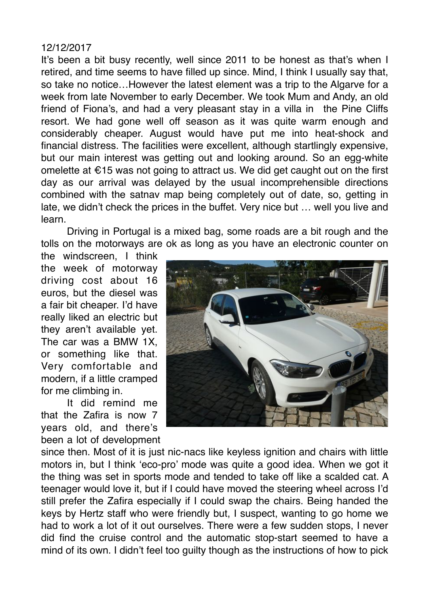## 12/12/2017

It's been a bit busy recently, well since 2011 to be honest as that's when I retired, and time seems to have filled up since. Mind, I think I usually say that, so take no notice…However the latest element was a trip to the Algarve for a week from late November to early December. We took Mum and Andy, an old friend of Fiona's, and had a very pleasant stay in a villa in the Pine Cliffs resort. We had gone well off season as it was quite warm enough and considerably cheaper. August would have put me into heat-shock and financial distress. The facilities were excellent, although startlingly expensive, but our main interest was getting out and looking around. So an egg-white omelette at €15 was not going to attract us. We did get caught out on the first day as our arrival was delayed by the usual incomprehensible directions combined with the satnav map being completely out of date, so, getting in late, we didn't check the prices in the buffet. Very nice but … well you live and learn.

Driving in Portugal is a mixed bag, some roads are a bit rough and the tolls on the motorways are ok as long as you have an electronic counter on

the windscreen, I think the week of motorway driving cost about 16 euros, but the diesel was a fair bit cheaper. I'd have really liked an electric but they aren't available yet. The car was a BMW 1X, or something like that. Very comfortable and modern, if a little cramped for me climbing in.

It did remind me that the Zafira is now 7 years old, and there's been a lot of development



since then. Most of it is just nic-nacs like keyless ignition and chairs with little motors in, but I think 'eco-pro' mode was quite a good idea. When we got it the thing was set in sports mode and tended to take off like a scalded cat. A teenager would love it, but if I could have moved the steering wheel across I'd still prefer the Zafira especially if I could swap the chairs. Being handed the keys by Hertz staff who were friendly but, I suspect, wanting to go home we had to work a lot of it out ourselves. There were a few sudden stops, I never did find the cruise control and the automatic stop-start seemed to have a mind of its own. I didn't feel too guilty though as the instructions of how to pick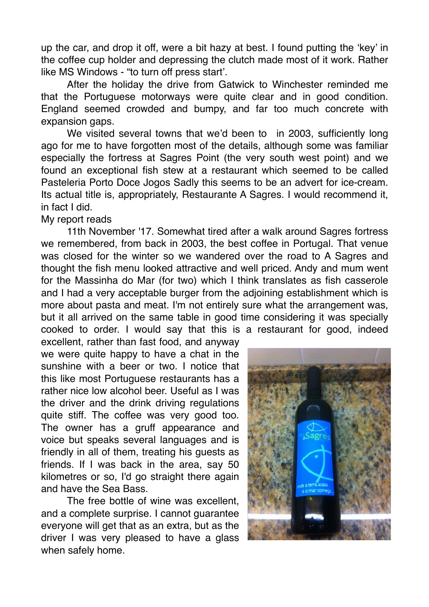up the car, and drop it off, were a bit hazy at best. I found putting the 'key' in the coffee cup holder and depressing the clutch made most of it work. Rather like MS Windows - "to turn off press start'.

After the holiday the drive from Gatwick to Winchester reminded me that the Portuguese motorways were quite clear and in good condition. England seemed crowded and bumpy, and far too much concrete with expansion gaps.

We visited several towns that we'd been to in 2003, sufficiently long ago for me to have forgotten most of the details, although some was familiar especially the fortress at Sagres Point (the very south west point) and we found an exceptional fish stew at a restaurant which seemed to be called Pasteleria Porto Doce Jogos Sadly this seems to be an advert for ice-cream. Its actual title is, appropriately, Restaurante A Sagres. I would recommend it, in fact I did.

## My report reads

11th November '17. Somewhat tired after a walk around Sagres fortress we remembered, from back in 2003, the best coffee in Portugal. That venue was closed for the winter so we wandered over the road to A Sagres and thought the fish menu looked attractive and well priced. Andy and mum went for the Massinha do Mar (for two) which I think translates as fish casserole and I had a very acceptable burger from the adjoining establishment which is more about pasta and meat. I'm not entirely sure what the arrangement was, but it all arrived on the same table in good time considering it was specially cooked to order. I would say that this is a restaurant for good, indeed

excellent, rather than fast food, and anyway we were quite happy to have a chat in the sunshine with a beer or two. I notice that this like most Portuguese restaurants has a rather nice low alcohol beer. Useful as I was the driver and the drink driving regulations quite stiff. The coffee was very good too. The owner has a gruff appearance and voice but speaks several languages and is friendly in all of them, treating his guests as friends. If I was back in the area, say 50 kilometres or so, I'd go straight there again and have the Sea Bass.

The free bottle of wine was excellent, and a complete surprise. I cannot guarantee everyone will get that as an extra, but as the driver I was very pleased to have a glass when safely home.

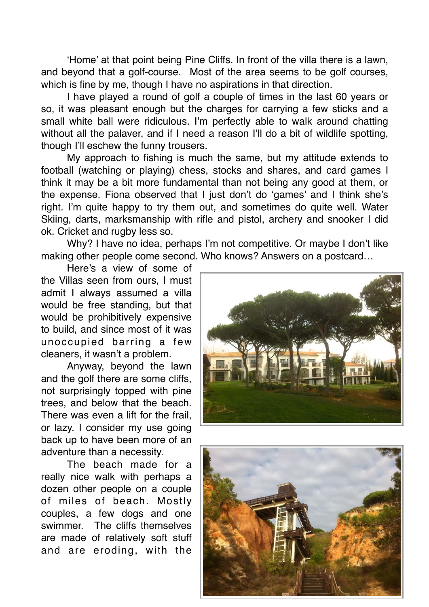'Home' at that point being Pine Cliffs. In front of the villa there is a lawn, and beyond that a golf-course. Most of the area seems to be golf courses, which is fine by me, though I have no aspirations in that direction.

I have played a round of golf a couple of times in the last 60 years or so, it was pleasant enough but the charges for carrying a few sticks and a small white ball were ridiculous. I'm perfectly able to walk around chatting without all the palaver, and if I need a reason I'll do a bit of wildlife spotting, though I'll eschew the funny trousers.

My approach to fishing is much the same, but my attitude extends to football (watching or playing) chess, stocks and shares, and card games I think it may be a bit more fundamental than not being any good at them, or the expense. Fiona observed that I just don't do 'games' and I think she's right. I'm quite happy to try them out, and sometimes do quite well. Water Skiing, darts, marksmanship with rifle and pistol, archery and snooker I did ok. Cricket and rugby less so.

Why? I have no idea, perhaps I'm not competitive. Or maybe I don't like making other people come second. Who knows? Answers on a postcard…

Here's a view of some of the Villas seen from ours, I must admit I always assumed a villa would be free standing, but that would be prohibitively expensive to build, and since most of it was unoccupied barring a few cleaners, it wasn't a problem.

Anyway, beyond the lawn and the golf there are some cliffs, not surprisingly topped with pine trees, and below that the beach. There was even a lift for the frail, or lazy. I consider my use going back up to have been more of an adventure than a necessity.

The beach made for a really nice walk with perhaps a dozen other people on a couple of miles of beach. Mostly couples, a few dogs and one swimmer. The cliffs themselves are made of relatively soft stuff and are eroding, with the



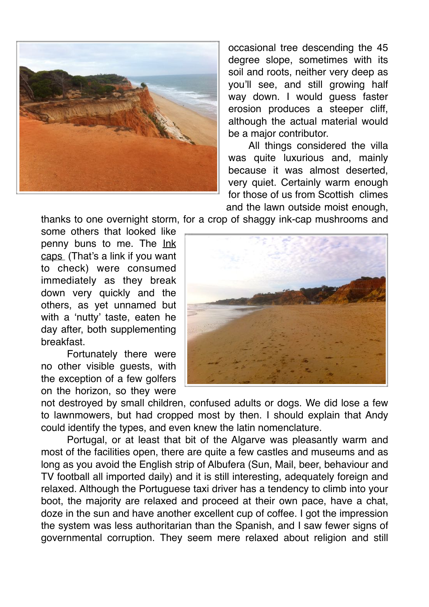

occasional tree descending the 45 degree slope, sometimes with its soil and roots, neither very deep as you'll see, and still growing half way down. I would guess faster erosion produces a steeper cliff, although the actual material would be a major contributor.

All things considered the villa was quite luxurious and, mainly because it was almost deserted, very quiet. Certainly warm enough for those of us from Scottish climes and the lawn outside moist enough,

thanks to one overnight storm, for a crop of shaggy ink-cap mushrooms and

some others that looked like penny buns to me. The [Ink](http://www.wildfooduk.com/mushroom-guides/shaggy-ink-caps-mushroom/) [caps](http://www.wildfooduk.com/mushroom-guides/shaggy-ink-caps-mushroom/) (That's a link if you want to check) were consumed immediately as they break down very quickly and the others, as yet unnamed but with a 'nutty' taste, eaten he day after, both supplementing breakfast.

Fortunately there were no other visible guests, with the exception of a few golfers on the horizon, so they were



not destroyed by small children, confused adults or dogs. We did lose a few to lawnmowers, but had cropped most by then. I should explain that Andy could identify the types, and even knew the latin nomenclature.

Portugal, or at least that bit of the Algarve was pleasantly warm and most of the facilities open, there are quite a few castles and museums and as long as you avoid the English strip of Albufera (Sun, Mail, beer, behaviour and TV football all imported daily) and it is still interesting, adequately foreign and relaxed. Although the Portuguese taxi driver has a tendency to climb into your boot, the majority are relaxed and proceed at their own pace, have a chat, doze in the sun and have another excellent cup of coffee. I got the impression the system was less authoritarian than the Spanish, and I saw fewer signs of governmental corruption. They seem mere relaxed about religion and still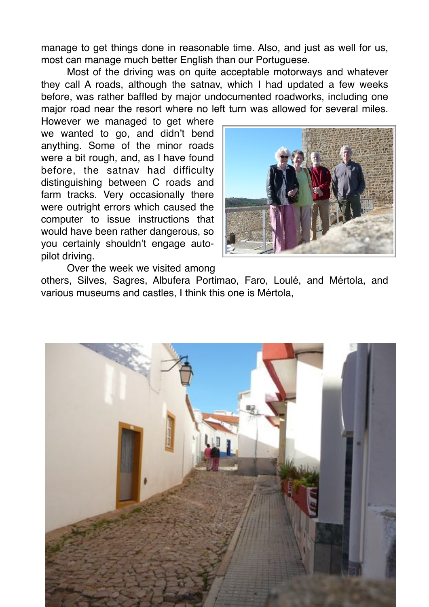manage to get things done in reasonable time. Also, and just as well for us, most can manage much better English than our Portuguese.

Most of the driving was on quite acceptable motorways and whatever they call A roads, although the satnav, which I had updated a few weeks before, was rather baffled by major undocumented roadworks, including one major road near the resort where no left turn was allowed for several miles.

However we managed to get where we wanted to go, and didn't bend anything. Some of the minor roads were a bit rough, and, as I have found before, the satnav had difficulty distinguishing between C roads and farm tracks. Very occasionally there were outright errors which caused the computer to issue instructions that would have been rather dangerous, so you certainly shouldn't engage autopilot driving.



Over the week we visited among

others, Silves, Sagres, Albufera Portimao, Faro, Loulé, and Mértola, and various museums and castles, I think this one is Mértola,

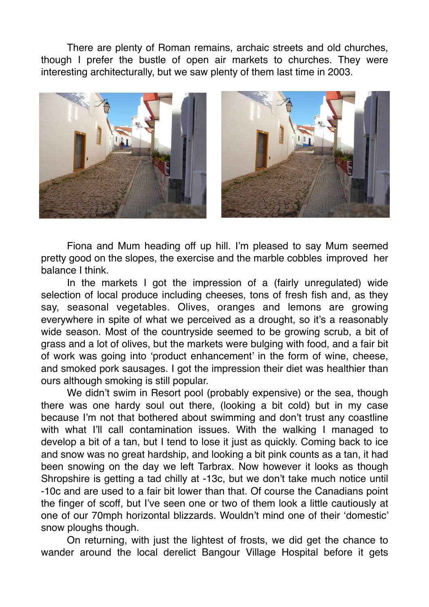There are plenty of Roman remains, archaic streets and old churches, though I prefer the bustle of open air markets to churches. They were interesting architecturally, but we saw plenty of them last time in 2003.



Fiona and Mum heading off up hill. I'm pleased to say Mum seemed pretty good on the slopes, the exercise and the marble cobbles improved her balance I think.

In the markets I got the impression of a (fairly unregulated) wide selection of local produce including cheeses, tons of fresh fish and, as they say, seasonal vegetables. Olives, oranges and lemons are growing everywhere in spite of what we perceived as a drought, so it's a reasonably wide season. Most of the countryside seemed to be growing scrub, a bit of grass and a lot of olives, but the markets were bulging with food, and a fair bit of work was going into 'product enhancement' in the form of wine, cheese, and smoked pork sausages. I got the impression their diet was healthier than ours although smoking is still popular.

We didn't swim in Resort pool (probably expensive) or the sea, though there was one hardy soul out there, (looking a bit cold) but in my case because I'm not that bothered about swimming and don't trust any coastline with what I'll call contamination issues. With the walking I managed to develop a bit of a tan, but I tend to lose it just as quickly. Coming back to ice and snow was no great hardship, and looking a bit pink counts as a tan, it had been snowing on the day we left Tarbrax. Now however it looks as though Shropshire is getting a tad chilly at -13c, but we don't take much notice until -10c and are used to a fair bit lower than that. Of course the Canadians point the finger of scoff, but I've seen one or two of them look a little cautiously at one of our 70mph horizontal blizzards. Wouldn't mind one of their 'domestic' snow ploughs though.

On returning, with just the lightest of frosts, we did get the chance to wander around the local derelict Bangour Village Hospital before it gets